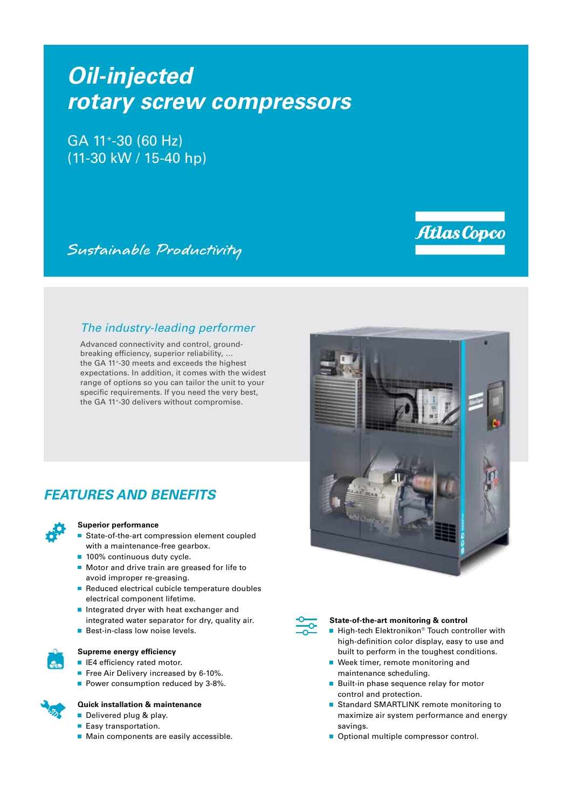# *Oil-injected rotary screw compressors*

GA 11+-30 (60 Hz) (11-30 kW / 15-40 hp)

Sustainable Productivity

### *The industry-leading performer*

Advanced connectivity and control, groundbreaking efficiency, superior reliability, … the GA 11+-30 meets and exceeds the highest expectations. In addition, it comes with the widest range of options so you can tailor the unit to your specific requirements. If you need the very best, the GA 11+-30 delivers without compromise.

# *FEATURES AND BENEFITS*



#### **Superior performance**

- State-of-the-art compression element coupled with a maintenance-free gearbox.
- 100% continuous duty cycle.
- Motor and drive train are greased for life to avoid improper re-greasing.
- Reduced electrical cubicle temperature doubles electrical component lifetime.
- Integrated dryer with heat exchanger and integrated water separator for dry, quality air.
- **Best-in-class low noise levels.**



#### **Supreme energy efficiency**

- **IE4** efficiency rated motor.
- Free Air Delivery increased by 6-10%.
- Power consumption reduced by 3-8%.

#### **Quick installation & maintenance**

- Delivered plug & play.
- Easy transportation.
- **Main components are easily accessible.**



Atlas Copco



#### **State-of-the-art monitoring & control**

- High-tech Elektronikon® Touch controller with high-definition color display, easy to use and built to perform in the toughest conditions.
- Week timer, remote monitoring and maintenance scheduling.
- **Built-in phase sequence relay for motor** control and protection.
- Standard SMARTLINK remote monitoring to maximize air system performance and energy savings.
- Optional multiple compressor control.